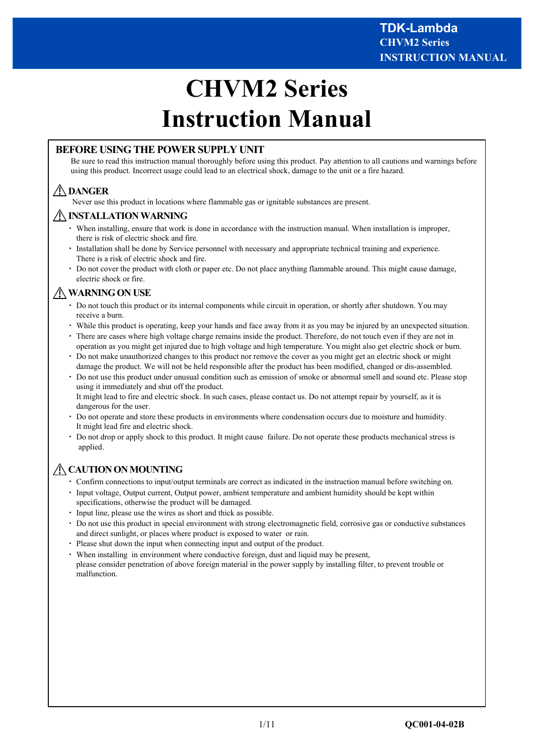# **CHVM2 Series Instruction Manual**

# **BEFORE USING THE POWER SUPPLY UNIT**

Be sure to read this instruction manual thoroughly before using this product. Pay attention to all cautions and warnings before using this product. Incorrect usage could lead to an electrical shock, damage to the unit or a fire hazard.

# **DANGER**

Never use this product in locations where flammable gas or ignitable substances are present.

#### **INSTALLATION WARNING**

- ・ When installing, ensure that work is done in accordance with the instruction manual. When installation is improper, there is risk of electric shock and fire.
- ・ Installation shall be done by Service personnel with necessary and appropriate technical training and experience. There is a risk of electric shock and fire.
- ・ Do not cover the product with cloth or paper etc. Do not place anything flammable around. This might cause damage, electric shock or fire.

# **WARNING ON USE**

- ・ Do not touch this product or its internal components while circuit in operation, or shortly after shutdown. You may receive a burn.
- ・ While this product is operating, keep your hands and face away from it as you may be injured by an unexpected situation.
- ・ There are cases where high voltage charge remains inside the product. Therefore, do not touch even if they are not in operation as you might get injured due to high voltage and high temperature. You might also get electric shock or burn.
- ・ Do not make unauthorized changes to this product nor remove the cover as you might get an electric shock or might damage the product. We will not be held responsible after the product has been modified, changed or dis-assembled.
- ・ Do not use this product under unusual condition such as emission of smoke or abnormal smell and sound etc. Please stop using it immediately and shut off the product. It might lead to fire and electric shock. In such cases, please contact us. Do not attempt repair by yourself, as it is dangerous for the user.
- ・ Do not operate and store these products in environments where condensation occurs due to moisture and humidity. It might lead fire and electric shock.
- ・ Do not drop or apply shock to this product. It might cause failure. Do not operate these products mechanical stress is applied.

# **CAUTION ON MOUNTING**

- ・ Confirm connections to input/output terminals are correct as indicated in the instruction manual before switching on.
- Input voltage, Output current, Output power, ambient temperature and ambient humidity should be kept within specifications, otherwise the product will be damaged.
- Input line, please use the wires as short and thick as possible.
- ・ Do not use this product in special environment with strong electromagnetic field, corrosive gas or conductive substances and direct sunlight, or places where product is exposed to water or rain.
- ・ Please shut down the input when connecting input and output of the product.
- ・ When installing in environment where conductive foreign, dust and liquid may be present, please consider penetration of above foreign material in the power supply by installing filter, to prevent trouble or malfunction.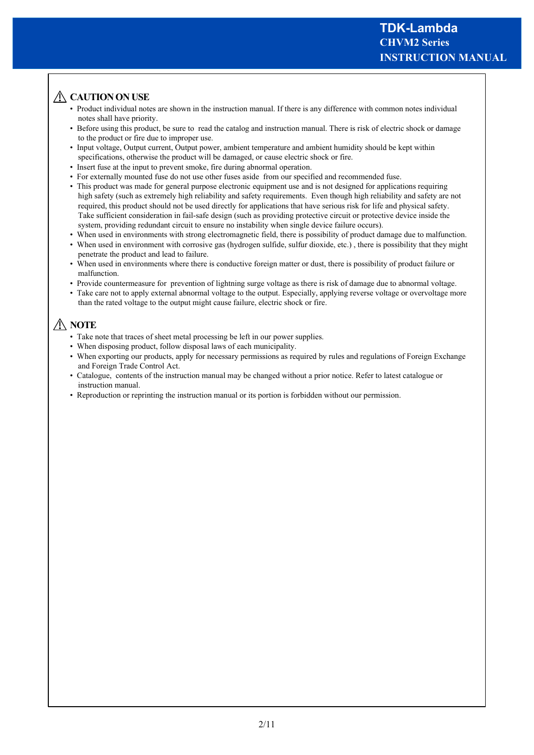# A CAUTION ON USE

- Product individual notes are shown in the instruction manual. If there is any difference with common notes individual notes shall have priority.
- Before using this product, be sure to read the catalog and instruction manual. There is risk of electric shock or damage to the product or fire due to improper use.
- Input voltage, Output current, Output power, ambient temperature and ambient humidity should be kept within specifications, otherwise the product will be damaged, or cause electric shock or fire.
- Insert fuse at the input to prevent smoke, fire during abnormal operation.
- For externally mounted fuse do not use other fuses aside from our specified and recommended fuse.
- This product was made for general purpose electronic equipment use and is not designed for applications requiring high safety (such as extremely high reliability and safety requirements. Even though high reliability and safety are not required, this product should not be used directly for applications that have serious risk for life and physical safety. Take sufficient consideration in fail-safe design (such as providing protective circuit or protective device inside the system, providing redundant circuit to ensure no instability when single device failure occurs).
- When used in environments with strong electromagnetic field, there is possibility of product damage due to malfunction.
- When used in environment with corrosive gas (hydrogen sulfide, sulfur dioxide, etc.), there is possibility that they might penetrate the product and lead to failure.
- When used in environments where there is conductive foreign matter or dust, there is possibility of product failure or malfunction.
- Provide countermeasure for prevention of lightning surge voltage as there is risk of damage due to abnormal voltage.
- Take care not to apply external abnormal voltage to the output. Especially, applying reverse voltage or overvoltage more than the rated voltage to the output might cause failure, electric shock or fire.

# **NOTE**

- Take note that traces of sheet metal processing be left in our power supplies.
- When disposing product, follow disposal laws of each municipality.
- When exporting our products, apply for necessary permissions as required by rules and regulations of Foreign Exchange and Foreign Trade Control Act.
- Catalogue, contents of the instruction manual may be changed without a prior notice. Refer to latest catalogue or instruction manual.
- Reproduction or reprinting the instruction manual or its portion is forbidden without our permission.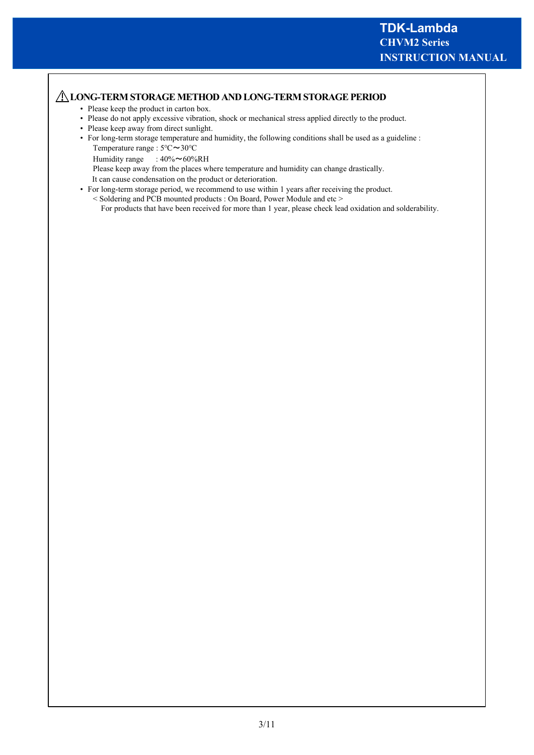# **LONG-TERM STORAGE METHOD AND LONG-TERM STORAGE PERIOD**

- Please keep the product in carton box.
- Please do not apply excessive vibration, shock or mechanical stress applied directly to the product.
- Please keep away from direct sunlight.
- For long-term storage temperature and humidity, the following conditions shall be used as a guideline : Temperature range : 5℃~30℃
	- Humidity range :  $40\% \sim 60\% \text{RH}$

Please keep away from the places where temperature and humidity can change drastically.

It can cause condensation on the product or deterioration.

- For long-term storage period, we recommend to use within 1 years after receiving the product.
	- < Soldering and PCB mounted products : On Board, Power Module and etc > For products that have been received for more than 1 year, please check lead oxidation and solderability.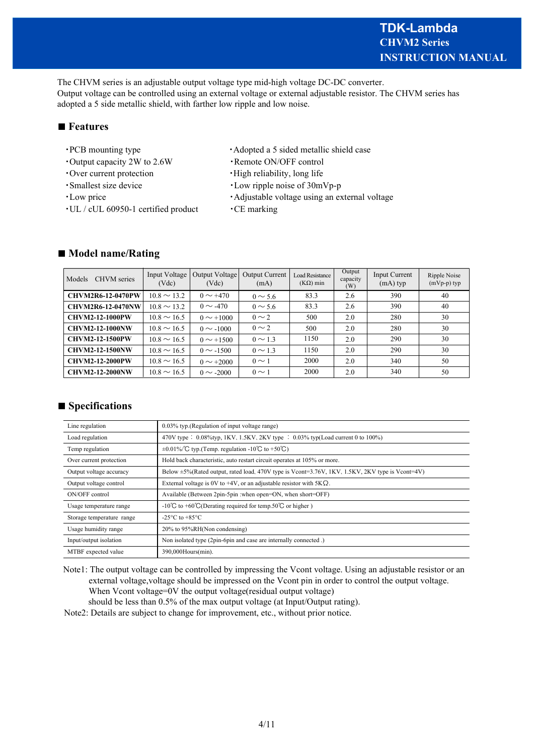The CHVM series is an adjustable output voltage type mid-high voltage DC-DC converter. Output voltage can be controlled using an external voltage or external adjustable resistor. The CHVM series has adopted a 5 side metallic shield, with farther low ripple and low noise.

# ■ **Features**

- 
- ・Output capacity 2W to 2.6W ・Remote ON/OFF control
- 
- 
- 
- $\cdot$ UL / cUL 60950-1 certified product  $\cdot$ CE marking
- PCB mounting type Adopted a 5 sided metallic shield case
	-
- ・Over current protection ・High reliability, long life
- ・Smallest size device ・Low ripple noise of 30mVp-p
- ・Low price ・Adjustable voltage using an external voltage
	-

| Models<br><b>CHVM</b> series | Input Voltage<br>(Vdc) | Output Voltage<br>(Vdc) | <b>Output Current</b><br>(mA) | <b>Load Resistance</b><br>$(K\Omega)$ min | Output<br>capacity<br>(W) | Input Current<br>$(mA)$ typ | Ripple Noise<br>$(mVp-p)$ typ |
|------------------------------|------------------------|-------------------------|-------------------------------|-------------------------------------------|---------------------------|-----------------------------|-------------------------------|
| <b>CHVM2R6-12-0470PW</b>     | $10.8 \sim 13.2$       | $0 \sim +470$           | $0 \sim 5.6$                  | 83.3                                      | 2.6                       | 390                         | 40                            |
| <b>CHVM2R6-12-0470NW</b>     | $10.8 \sim 13.2$       | $0 \sim -470$           | $0 \sim 5.6$                  | 83.3                                      | 2.6                       | 390                         | 40                            |
| <b>CHVM2-12-1000PW</b>       | $10.8 \sim 16.5$       | $0 \sim +1000$          | $0 \sim 2$                    | 500                                       | 2.0                       | 280                         | 30                            |
| <b>CHVM2-12-1000NW</b>       | $10.8 \sim 16.5$       | $0 \sim -1000$          | $0 \sim 2$                    | 500                                       | 2.0                       | 280                         | 30                            |
| <b>CHVM2-12-1500PW</b>       | $10.8 \sim 16.5$       | $0 \sim +1500$          | $0 \sim 1.3$                  | 1150                                      | 2.0                       | 290                         | 30                            |
| <b>CHVM2-12-1500NW</b>       | $10.8 \sim 16.5$       | $0 \sim -1500$          | $0 \sim 1.3$                  | 1150                                      | 2.0                       | 290                         | 30                            |
| <b>CHVM2-12-2000PW</b>       | $10.8 \sim 16.5$       | $0 \sim +2000$          | $0 \sim 1$                    | 2000                                      | 2.0                       | 340                         | 50                            |
| <b>CHVM2-12-2000NW</b>       | $10.8 \sim 16.5$       | $0 \sim -2000$          | $0 \sim 1$                    | 2000                                      | 2.0                       | 340                         | 50                            |

#### ■ **Model name/Rating**

# ■ **Specifications**

| Line regulation           | 0.03% typ. (Regulation of input voltage range)                                                         |
|---------------------------|--------------------------------------------------------------------------------------------------------|
| Load regulation           | 470V type : $0.08\%$ typ, 1KV, 1.5KV, 2KV type : $0.03\%$ typ(Load current 0 to 100%)                  |
| Temp regulation           | $\pm 0.01\%$ C typ. (Temp. regulation -10°C to +50°C)                                                  |
| Over current protection   | Hold back characteristic, auto restart circuit operates at 105% or more.                               |
| Output voltage accuracy   | Below $\pm 5\%$ (Rated output, rated load, 470V type is Vcont=3.76V, 1KV, 1.5KV, 2KV type is Vcont=4V) |
| Output voltage control    | External voltage is 0V to +4V, or an adjustable resistor with $5K\Omega$ .                             |
| ON/OFF control            | Available (Between 2pin-5pin : when open=ON, when short=OFF)                                           |
| Usage temperature range   | -10°C to +60°C(Derating required for temp.50°C or higher)                                              |
| Storage temperature range | -25 $\mathrm{^{\circ}C}$ to +85 $\mathrm{^{\circ}C}$                                                   |
| Usage humidity range      | 20% to 95%RH(Non condensing)                                                                           |
| Input/output isolation    | Non isolated type (2pin-6pin and case are internally connected.)                                       |
| MTBF expected value       | 390,000Hours(min).                                                                                     |

Note1: The output voltage can be controlled by impressing the Vcont voltage. Using an adjustable resistor or an external voltage,voltage should be impressed on the Vcont pin in order to control the output voltage. When Vcont voltage=0V the output voltage(residual output voltage)

should be less than 0.5% of the max output voltage (at Input/Output rating).

Note2: Details are subject to change for improvement, etc., without prior notice.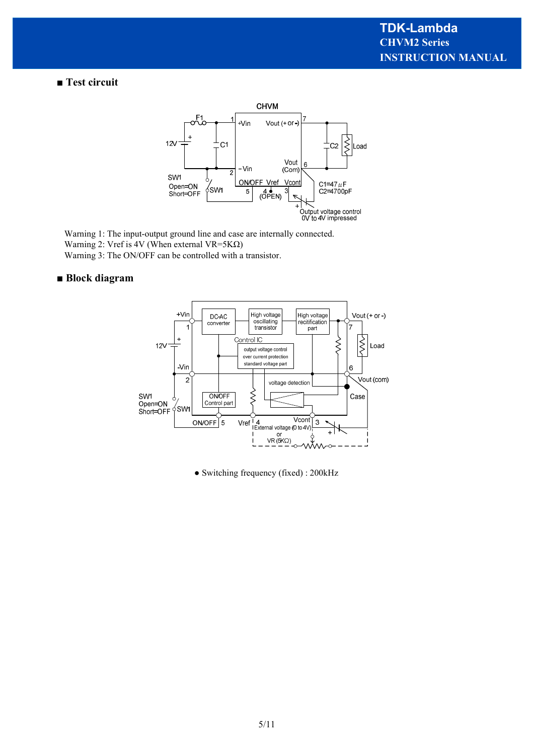■ Test circuit



Warning 1: The input-output ground line and case are internally connected. Warning 2: Vref is 4V (When external VR=5K $\Omega$ ) Warning 3: The ON/OFF can be controlled with a transistor.

# **■ Block diagram**



● Switching frequency (fixed) : 200kHz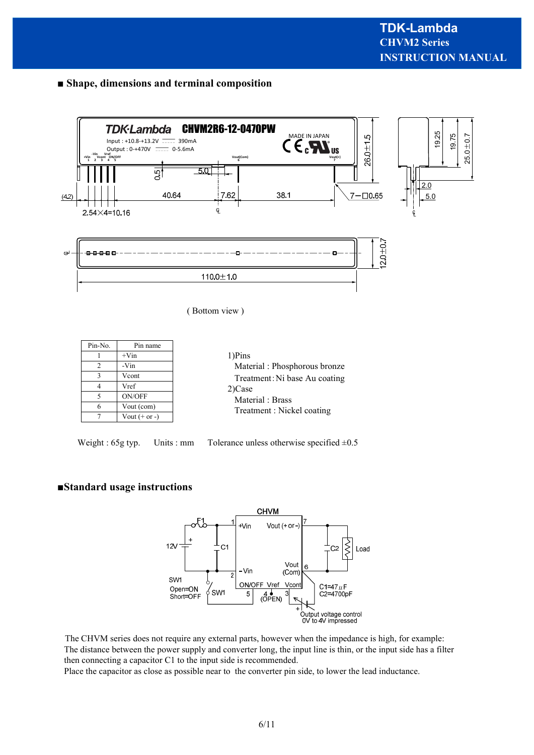# **■ Shape, dimensions and terminal composition**



( Bottom view )

| Pin-No. | Pin name        |                 |
|---------|-----------------|-----------------|
|         | $+V$ in         | 1)Pins          |
|         | -Vin            | Material: Phosp |
|         | Vcont           | Treatment: Ni b |
|         | Vref            | 2) Case         |
|         | ON/OFF          | Material: Brass |
|         | Vout (com)      | Treatment : Nic |
|         | Vout $(+ or -)$ |                 |

|  |                                 | $+V$ in    | 1)Pins                        |  |  |
|--|---------------------------------|------------|-------------------------------|--|--|
|  |                                 | -Vin       | Material: Phosphorous bronze  |  |  |
|  |                                 | Vcont      | Treatment: Ni base Au coating |  |  |
|  | 4                               | Vref       | 2) Case                       |  |  |
|  |                                 | ON/OFF     | Material: Brass               |  |  |
|  | 6                               | Vout (com) | Treatment : Nickel coating    |  |  |
|  | $V_{\text{out}}$ (+ or $\Box$ ) |            |                               |  |  |

Weight : 65g typ. Units : mm Tolerance unless otherwise specified  $\pm 0.5$ 

# **■Standard usage instructions**



The CHVM series does not require any external parts, however when the impedance is high, for example: The distance between the power supply and converter long, the input line is thin, or the input side has a filter then connecting a capacitor C1 to the input side is recommended.

Place the capacitor as close as possible near to the converter pin side, to lower the lead inductance.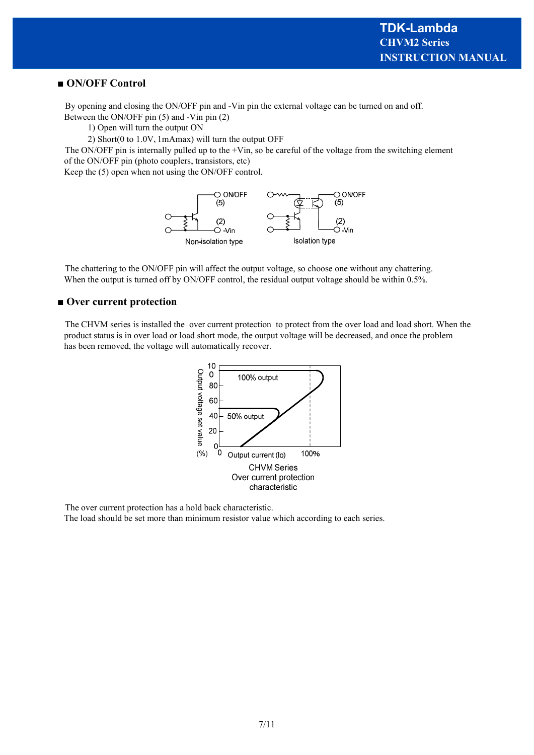#### **■ ON/OFF Control**

By opening and closing the ON/OFF pin and -Vin pin the external voltage can be turned on and off. Between the ON/OFF pin (5) and -Vin pin (2)

1) Open will turn the output ON

2) Short(0 to 1.0V、1mAmax) will turn the output OFF

The ON/OFF pin is internally pulled up to the  $+V$ in, so be careful of the voltage from the switching element of the ON/OFF pin (photo couplers, transistors, etc)

Keep the (5) open when not using the ON/OFF control.



The chattering to the ON/OFF pin will affect the output voltage, so choose one without any chattering. When the output is turned off by ON/OFF control, the residual output voltage should be within 0.5%.

#### ■ Over current protection

The CHVM series is installed the over current protection to protect from the over load and load short. When the product status is in over load or load short mode, the output voltage will be decreased, and once the problem has been removed, the voltage will automatically recover.



The over current protection has a hold back characteristic.

The load should be set more than minimum resistor value which according to each series.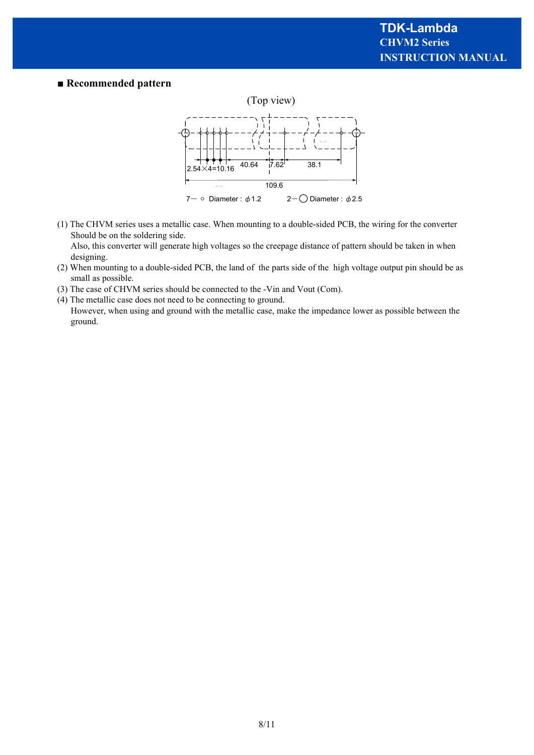#### **■ Recommended pattern**



(1) The CHVM series uses a metallic case. When mounting to a double-sided PCB, the wiring for the converter Should be on the soldering side.

 Also, this converter will generate high voltages so the creepage distance of pattern should be taken in when designing.

- (2) When mounting to a double-sided PCB, the land of the parts side of the high voltage output pin should be as small as possible.
- (3) The case of CHVM series should be connected to the -Vin and Vout (Com).
- (4) The metallic case does not need to be connecting to ground.
- However, when using and ground with the metallic case, make the impedance lower as possible between the ground.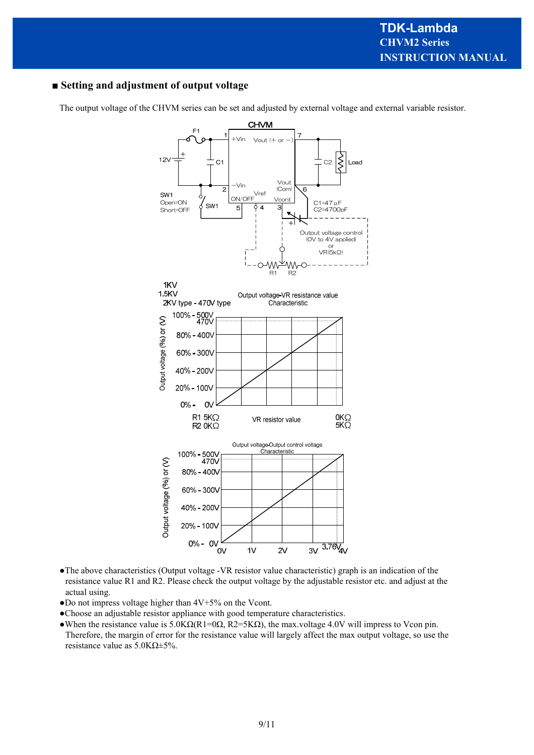# **■ Setting and adjustment of output voltage**

The output voltage of the CHVM series can be set and adjusted by external voltage and external variable resistor.



- ●The above characteristics (Output voltage -VR resistor value characteristic) graph is an indication of the resistance value R1 and R2. Please check the output voltage by the adjustable resistor etc. and adjust at the actual using.
- ●Do not impress voltage higher than 4V+5% on the Vcont.
- ●Choose an adjustable resistor appliance with good temperature characteristics.
- •When the resistance value is  $5.0K\Omega(R1=0\Omega, R2=5K\Omega)$ , the max.voltage 4.0V will impress to Vcon pin. Therefore, the margin of error for the resistance value will largely affect the max output voltage, so use the resistance value as 5.0KΩ±5%.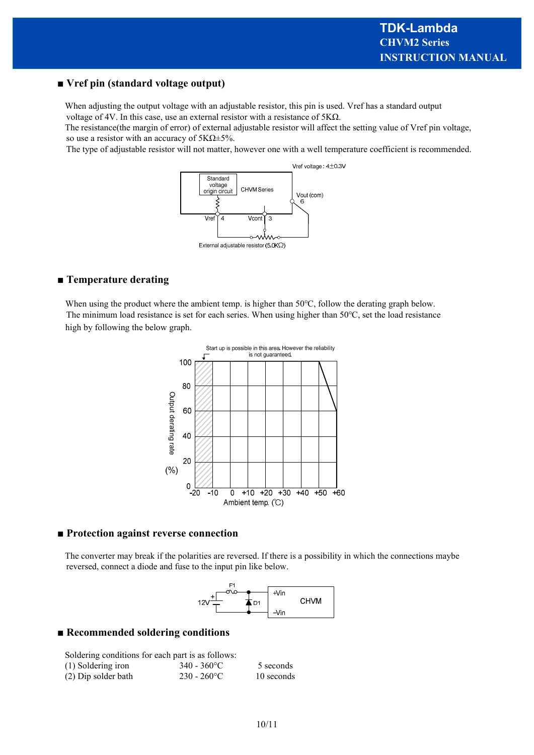#### **■ Vref pin (standard voltage output)**

When adjusting the output voltage with an adjustable resistor, this pin is used. Vref has a standard output voltage of 4V. In this case, use an external resistor with a resistance of 5KΩ.

The resistance(the margin of error) of external adjustable resistor will affect the setting value of Vref pin voltage, so use a resistor with an accuracy of  $5K\Omega \pm 5\%$ .

The type of adjustable resistor will not matter, however one with a well temperature coefficient is recommended.



#### **■ Temperature derating**

When using the product where the ambient temp. is higher than 50℃, follow the derating graph below. The minimum load resistance is set for each series. When using higher than 50℃, set the load resistance high by following the below graph.



#### **■ Protection against reverse connection**

The converter may break if the polarities are reversed. If there is a possibility in which the connections maybe reversed, connect a diode and fuse to the input pin like below.



#### **■ Recommended soldering conditions**

| Soldering conditions for each part is as follows: |                          |            |  |  |
|---------------------------------------------------|--------------------------|------------|--|--|
| (1) Soldering iron                                | 340 - 360 <sup>o</sup> C | 5 seconds  |  |  |
| (2) Dip solder bath                               | $230 - 260$ °C           | 10 seconds |  |  |